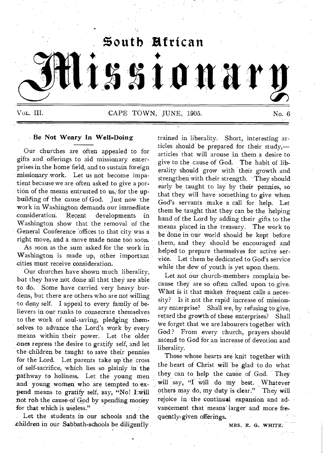

# **Be Not Weary In Well-Doing**

Our churches are often appealed to for gifts and offerings to aid missionary enterprises in the home field, and to sustain foreign missionary work. Let us not become impatient because we are often asked to give a portion of the means entrusted to us, for the upbuilding of the cause of God. Just now the work in Washington demands our immediate ,consideration. Recent developments in Washington show that the removal of the - General Conference offices to that city was a right move, and a move made none too soon.

As soon as the sum asked for the work in Washington is made up, other important .cities must receive consideration.

Our churches have shown much liberality, but they have not done all that they are able 'to do. Some have carried very heavy burdens, but there are others who are not willing to deny self. I appeal to every family of believers in our ranks to consecrate themselves to the work of soul-saving, pledging themselves to advance the Lord's work by every means within their power. Let the older ones repress the desire to gratify self, and let the children be taught to save their pennies for the Lord. Let parents take up the cross of self-sacrifice, which lies so plainly in' the pathway to holiness. Let the young men and young women who are tempted to expend means to gratify self, say, "No! I will **not** rob the causenf God by' spending money for that which is useless."

Let the students in our schools and the children in our Sabbath-schools be diligently. trained in liberality. Short, interesting articles should be prepared for their study, articles that will arouse in them a desire to give to the cause of God. The habit of liberality should grow with their growth and strengthen with their strength. "They should early be taught to lay by their pennies, so that they will have something to give when God's servants make a call for help. Let them be taught that they can be the helping hand of the Lord by adding their gifts to the means placed in the treasury. The work to be done in our world should be kept before them, and they should be encouraged and helped to prepare themselves for active service. Let them be dedicated to God's service while the dew of youth is yet upon them.

Let not our church-members complain because they are so often called upon to give. What is it that makes frequent calls a necessity? Is it not the rapid increase of missionary enterprise? Shall we, by refusing to give, retard the growth of these enterprises? Shall We forget that we are labourers together with God? From every church, prayers should ascend to God for an increase of devotion and liberality.

Those whose hearts are knit together with the heart of Christ will be glad to do what they can to, help the cause of God. They will say, "I will do my best. Whatever others may do, my duty is clear." They will rejoice in the continual expansion and advancement that means' larger and more frequently-given offerings.

MRS. E. G. WHITE.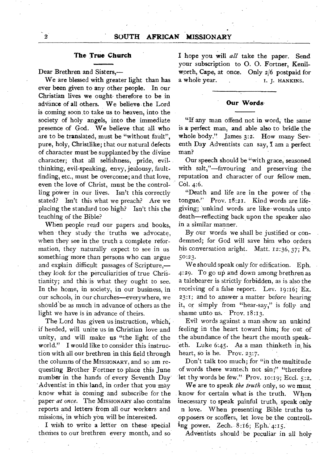# **The True Church**

Dear Brethren and Sisters,—

We are blessed with greater light than has ever been given to any other people. In our Christian lives we ought therefore to be in advance of all others. We believe the Lord is coming soon to take us to heaven, into the society of holy angels, into the immediate presence of God. We believe that all who are to be translated, must be "without fault", pure, holy, Christlike; that our natural defects of character must' be supplanted by the divine character; that all selfishness, pride, evilthinking, evil-speaking, envy, jealousy, faultfinding, etc., must be overcome; and that love, even the love of Christ, must be the controlling pOwer in our lives. Isn't this correctly stated? Isn't this what we preach? Are we placing, the standard too high? Isn't this the teaching of the Bible?

When people read our papers and books, when they study the truths we advocate, when they see in the truth a complete reformation, they naturally expect to see in us something more than persons who can argue and explain difficult passages of Scripture, they look for the perculiarities of true Christianity; and this is what they ought to see. In the home, in society, in our business, in our schools, in our churches—everywhere, we should be as much in advance of others as the light we have is in advance of theirs.

The Lord has given us instruction, which, if heeded, will unite us in Christian love and unity, and will make us "the light of the world." I would like to consider this instruction with all our brethren in this field through the columns of the MISSIONARY, and so am requesting Brother Fortner to place this June number in the hands of every Seventh Day Adventist in this land, in order that you may know what is coming and subscribe for the paper *at once.* The MISSIONARY also contains reports and letters from all our workers and missions, in which- you will be interested.

I wish to write a letter on these special themes to our brethren every month, and so **I** hope you will *all* take the paper. Send your subscription to 0. 0. Fortner, Kenilworth, Cape, at once. Only  $2/6$  postpaid for<br>a whole year.<br>I. J. HANKINS. I. I. HANKINS.

# **Our Words-**

"If any man offend not in word, the same is a perfect man, and able also to bridle the whole body." James 3:2. How many Seventh Day Adventists can say, I am a perfect man?

Our speech should be "with grace, seasoned with salt,"—favouring and preserving the reputation and character of our fellow men. Col. 4:6.

"Death and life are in the power of the tongue.'' Prov. 18:21. Kind words are lifegiving; unkind words are like- wounds unto death—reflecting back upon the speaker also in a similar manner.

By our words we shall be justified or condemned; for God will save him who orders his conversation aright. Matt. 12:36, 37; Ps. 5o:23.

We should speak only for edification. Eph. 4:29. To go up and down among brethren as a talebearer is strictly forbidden, as is also the receiving of a false report. Lev. 19:16; Ex. 23:1; and to answer a matter before hearing it, or simply from "hear-say," is folly and shame unto us. Prov. 18:13.

Evil words against a man show an unkind feeling in the heart toward him; for out of the abundance of the heart the mouth speaketh. Luke 6:45. As a man thinketh in,his heart, so is he. Prov. 23:7.

Don't talk too much; for "in the multitude of words there wanteth not sin;" "therefore let thy words be few." Prov. 10:19; Eccl. 5:2.

We are to speak *the truth* only, so we must know for certain what is the truth. When inecessary to speak painful truth, speak only n love. When presenting Bible truths to opposers or scoffers, let love be the controlling power. Zech. 8:16; Eph. 4:15.

Adventists should be peculiar in all holy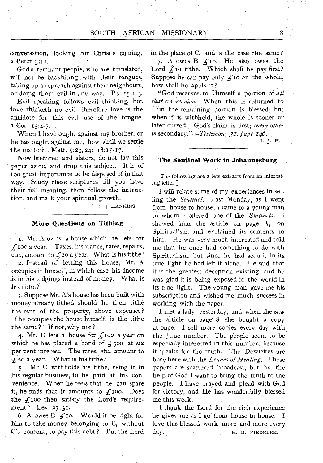conversation, looking for Christ's coming. 2 Peter 3:11.

God's remnant people, who are, translated, will not be backbiting with their tongues, taking up a reproach against their neighbours, or doing them evil in any way. Ps. 15:1-3.

Evil speaking follows evil thinking, but EVII speaking follows evil thinking, but<br>
dove thinketh no evil; therefore love is the<br>
antidote for this evil use of the tongue.<br>
I Cor. 13:4-7.<br>
When I have ought against my brother or antidote for this evil use of the tongue.

When I have ought against my brother, or he has ought against me, how shall we settle the matter? Matt. 5:23, 24: 18:15-17.

Now brethren and sisters, do not lay this paper aside, and drop this subject. It is of too great importance to be disposed of in that way. Study these scriptures till you have their full meaning, then follow the instruction, and mark your, spiritual growth.

I. J HANKINS.

#### **More Questions on Tithing**

1. Mr. A owns a house which he lets for  $f_1$ 100 a year. Taxes, insurance, rates, repairs, etc., amount to  $f<sub>z</sub>$  a year. What is his tithe?

2. Instead of letting this house, Mr. A occupies it himself, in which case his income is in his lodgings instead of money. What is his tithe?

3. Suppose Mr. A's house has been built with money already tithed, should he then tithe the rent of the property, above expenses? If he occupies the house himself, is the tithe the same? If not, why not?

4. Mr. B lets a house for  $f$ 100 a year on which he has placed a bond of  $f_s$  500 at six per cent interest. The rates, etc., amount to  $\angle$  20 a year. What is his tithe?

5. Mr. C withholds his tithe, using it in his regular business, to be paid at his convenience. When he feels that he can spare it, he finds that it amounts to  $f_{\text{1}}$  too. Does the  $f$  roo then satisfy the Lord's requirement? Lev. 27:31.

6. A owes B  $f$  io. Would it be right for him to take money belonging to C, without  $\mathbf{C}'$ 's consent, to pay this debt? Put the Lord in the place of C, and is the case the same? 7. A owes  $B f$  o. He also owes the Lord  $\oint$  to tithe. Which shall he pay first? Suppose he can pay only  $\int$  to on the whole, how shall he apply it ?

"God reserves to Himself a portion of *all that we receive.* When this is returned to Him, the remaining portion is blessed; but when it is withheld, the whole is sooner or later cursed. God's claim is first; every other is secondary."—*Testimony 31, page 146.* 

*1. J.* H.

#### **The Sentinel Work in Johannesburg ,**

[The following are a few extracts from an interesting letter.]

I will relate some of my experiences in selling the *Sentinel.* Last Monday, as I went from house to house, I came to a young man to whom I offered one of the *Sentinels.* I showed him the article on page 8, on Spiritualism, and explained its contents to him. He was very much interested and told me that he once had something to do with Spiritualism, but since he had seen it in its true light he had left it alone. He said that it is the greatest deception existing, and he was glad it is being exposed to the world in its true light. The young man gave me his subscription and wished me much success in working with the paper.

I met a lady yesterday, and when she saw the article, on page' 8 she bought a copy at once. I sell more' copies every day with the June number. The people seem to be especially interested in this number, because it speaks for the truth. The Dowieites are busy here with the *Leaves of Healing.* These papers are scattered broadcast, but by the help of God I want to bring the truth to the people. I have prayed and plead with God for victory, and He has wonderfully blessed me this week.

I thank the Lord for the rich experience he gives me as I go from house to house. I love this blessed work more and more every day. H. B. FIEDELER.

3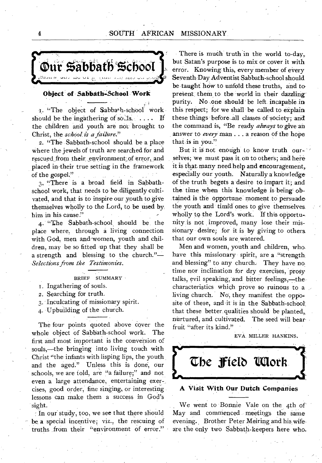# 4 SOUTH AFRICAN MISSIONARY



#### **Object of Sabbath-School Work**

1. "The object of Sabbath-school work should be the ingathering of so $\Lambda$ s. . . . . If the children and youth are not brought to Christ, the *school\_is a failure."* 

2. "The Sabbath-school should be a place where the jewels of truth are searched for and rescued from their, environment of error, and placed in-their true setting in the framework of the gospel."

3, "There is a broad field in Sabbathschool work, that needs to be diligently cultivated, and that is to inspire our youth to give theniselves wholly to the Lord, to be used by him in his cause."

4. "The Sabbath-school should be the place where, through a living connection with God, men and women, youth and children, may be so fitted up that they shall be a strength and blessing to the church."— *Selections from the Testimonies.* 

BRIEF SUMMARY

- I . Ingathering of souls.
- 2. Searching for truth.
- 3. Inculcating of missionary spirit.

4. Upbuilding of the church.

The four points quoted above cover the whole object of Sabbath-school work. The first and most important is the conversion of souls,—the bringing into living touch with Christ "the infants with lisping lips, the youth and the aged." Unless this is done, our schools, we are told, are "a failure;" and not even a large attendance, entertaining exercises, good order, fine singing, or interesting lessons can make them a success in God's sight.

In our study, too, we see that there should be a special incentive; viz., the rescuing of truths from their "environment of error."

There is much truth in the world to-day, but Satan's purpose is to mix or cover it with error. Knowing this, every member of every Seventh-Day Adventist Sabbath:school should be taught how to unfold these truths, and to present them to the world in their dazzlingpurity. No .one should be left incapable in this respect; for we shall be called to explain these things before ,all classes of-society; and the command is, "Be ready *always* to give an answer to *every* man . . . a reason of the hope that is in you."

But it is not enough to know truth ourselves; we must pass it on to others; and here it is that many need help and encouragement, especially our youth. Naturally a knowledge of the truth begets a desire to impart it; and the time when this knowledge is being obtained is the opportune moment to persuade the youth and timid ones to give themselves wholly to the Lord's work. If this opportunity is not improved, many lose their missionary desire; for it is by giving to others that our own souls are watered.

Men and women, youth and children, who, have this missionary spirit, are a "strength, and blessing" to any church. They have no time nor inclination for dry exercises, prosy talks, evil speaking, and bitter feelings,—the characteristics which prove so ruinous to a living church. No, they manifest the opposite of these, and it is in the Sabbath-schoot that these better qualities should be planted, nurtured, and cultivated. The seed will bearfruit "after its kind."

EVA, MILLER HANKINS.



We went to Bonnie Vale on the 4th of May and commenced meetings the same evening. Brother Peter Meiring and his, wife are the only two Sabbath-keepers here who,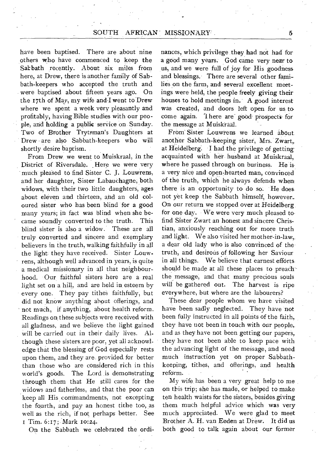have been baptised. There are about nine others who have commenced to keep the Sabbath recently. About six miles from here, at Drew, there is another family of Sabbath-keepers who accepted the truth and were baptised about fifteen years ago. On the 17th of May, my wife and I went to Drew where we spent a week very pleasantly and profitably, having Bible studies with our people, and holding a public service on Sunday. Two of Brother Trytsman's Daughters at Drew are also Sabbath-keepers who will shortly desire baptism.

From Drew we went to Muiskraal, in the District of Riversdale. Here we were very much pleased to find Sister C. J. Louwrens, and her daughter, Sister Labauchagne, both widows, with their two little daughters, ages about eleven and thirteen, and an old coloured sister who has been blind for a good many years; in fact was blind when she became soundly converted to the truth. This blind sister is also a widow. These are all truly converted and sincere and exemplary believers in the truth, walking faithfully in all the light: they have received. Sister Louwrens, although well advanced in years, is quite a medical missionary in all that neighbourhood. Our faithful sisters here are a real light set on a hill, and are held in, esteem by every one. They pay tithes faithfully, but did not know anything about offerings, and not much, if anything, about health reform. Readings on these subjects were received with all gladness, and we believe the light gained will be carried out in their daily lives. Although these sisters, are poor, yet all acknowledge that the blessing of God especially rests upon them, and they are provided for better than those who are considered rich in this world's goods. The Lord is demonstrating through them that He still cares for the widows and fatherless, and that the poor can keep all His commandments, not excepting the fourth, and pay an honest tithe too, as well as the rich, if not perhaps better. See I Tim. 6:17; Mark 1o:24.

On the Sabbath we celebrated the ordi-

nances, which privilege they had not had for a good many years. God came very near to us, and we were full of joy for His goodness and blessings. There are several other families on the farm, and several excellent meetings were held, the people freely giving their houses to hold meetings in. A good interest was created, and doors left open for us to come again. 1 here are' good-prospects for the message at Muiskraal.

From Sister Louwrens we learned about. another Sabbath-keeping sister, Mrs. Zwart, at Heidelberg: I had the privilege of gettingacquainted with her husband at Muiskraal, where he passed through on business. He isa very nice and open-hearted man, convinced of the truth, which he always defends when there is an opportunity to do so. He doesnot yet keep the Sabbath himself, however.. On our return we stopped over at Heidelberg for one day. We were very much pleased to find Sister Zwart an honest and sincere Christian, anxiously reaching out for more truth and light. We also visited her mother-in-law, a dear old lady who is also convinced of the truth, and desirous of following her-Saviour in all things. We believe that earnest efforts should be made at all these places to preachthe message, and that many precious souls will be gathered out. The harvest is ripe everywhere, but where are the labourers?

These dear people whom we have visited have been sadly neglected. They have not been fully instructed in all points of the faith, they have not been in touch with our people, and as they have not been getting our papers, they have not been able to keep pace with the advancing light of the message, and need much instruction yet on proper Sabbathkeeping, tithes, and offerings, and health reform.

My wife, has been a very great help to me on this trip; she has made, or helped to make ten health waists for the sisters, besides giving them much helpful advice which was very much appreciated. We were glad to meet Brother A. H. van Eeden at Drew. It did us both good to talk again about our former

5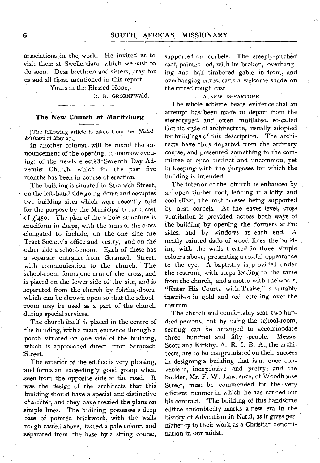associations in the work. He invited as to visit them at Swellendam, which we wish to do soon. Dear brethren and sisters, pray for us and all those mentioned in this report.

Yours in the Blessed Hope,

D. H. GROENFWald.

## **The New Church at Maritzburg**

[The following article is taken from the *Natal Witness* of May 27.]

In another column will be found the announcement of the opening, to-morrow evening, of the newly-erected-Seventh Day Adventist Church, which for the past five months has been in course of erection.

The building is situated in Stranach Street, on the left-hand side *going* down and occupies two building sites which were recently sold for the purpose by the Municipality, at a cost of  $\angle$  450. The plan of the whole structure is \_cruciform in shape, with the arms of the cross elongated to include, on the one side the Tract Society's office and vestry, and on the other side a school-room. Each of these has a separate entrance from Stranach Street, with communication to the church. The school-room forms one arm of the cross, and is placed on the lower side of the site, and is separated from the church by folding-doors, which can be thrown open so that the schoolroom may be used as a part of the church during special services.

The church itself is placed in the centre of the building, with a main entrance through a porch situated on one side of the building, which is approached direct from Stranach Street.

The exterior of the edifice is very pleasing, and forms an exceedingly good group when seen from the opposite side of the road. It was the design of the architects that this building should have a special and distinctive character, and they have treated the plans on simple lines. The building possesses a deep base of pointed brickwork, with the walls rough-casted above, tinted- a pale colour, and separated from the base by a string course, supported on corbels. The steeply-pitched roof, painted red, with its broken, overhanging and half timbered gable in front, and overhanging eaves, casts a welcome shade on the tinted rough-cast.

#### A NEW DEPARTURE

The whole scheme bears evidence that an attempt has been made to depart from the stereotyped, and often mutilated, so-called Gothic style of architecture, usually adopted for buildings of this description. The architects have thus departed from the ordinary course, and presented something to the committee at once distinct and uncommon, yet in keeping with the purposes for which the building is intended.

The interior of the church is enhanced by an open -timber roof, lending it a lofty and cool effect, the roof trusses being supported by neat corbels. At the eaves level, cross ventilation is provided across both ways of the building by opening the dormers at the sides, and by windows at each end. A neatly painted dado of wood lines the building, with the walls treated in three simple colours above, presenting a restful appearance to the eye. .A baptistry is, provided under the rostrum, with steps leading to the same from the church, and a motto with the words, "Enter His Courts with. Praise," is suitably inscribed in gold and red lettering over the rostrum.

The church will comfortably seat two hundred persons, but by using the school-room, seating can be arranged to accommodate three hundred and fifty people. Messrs. Scott and Kirkby, A. R. I. B. A., the architects, are to be congratulated on their success in designing a building that is at once convenient, inexpensive and pretty; and the builder, Mr. F. W. Lawrence, of Woodhouse Street, must be commended for the -very efficient manner in which he has carried out his contract. **The** building of this handsome edifice undoubtedly marks a new era in the history of Adventism in Natal, as it gives pernianency to their work as a Christian denomination in' our midst.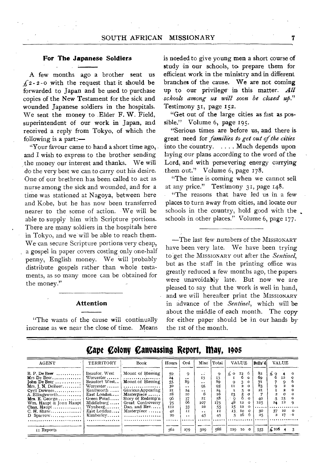## **For The Japanese Soldiers**

A few months ago a brother sent us  $f_2$ -2-0 with the request that it should be forwarded to Japan and be used to purchase copies of the New Testament for the sick and wounded Japanese soldiers in the hospitals. We sent the money to Elder F. W. Field, superintendent of our work in Japan, and received a reply from Tokyo, of which the following is a part:—

"Your favour came to hand a short time ago, and I wish to express to the brother sending the money our interest and thanks. We will do the very best we can to carry out his desire. One of our brethren has been called to act as nurse among the sick and wounded, and for a time was stationed at Nagoya, between here and Kobe, but he has now been transferred nearer to the scene of action. We will be able to supply him with Scripture portions. There are many soldiers in the hospitals here in Tokyo, and we will be able to reach them. We can secure Scripture portions very cheap, a gospel in paper covers costing only one-half penny, English money. We will probably distribute gospels rather than whole testaments, as so many more can be obtained for the money."

#### **Attention**

"The wants of the cause will continually increase as we near the close of time. Means is needed to give young men a short course of study in our schools, to. prepare them for efficient work in the ministry and in different branches of the cause. We are not coming up to our privilege in this matter. *Alf schools among us will soon be closed ufi."*  Testimony 31, page 152.

"Get out of the large cities as fast as possible." Volume 6, page 195.

"Serious times are before us, and there is great need for *families to get out of the cities*  into the country. . . . . Much depends upon laying our plans according to the word of the Lord, and with persevering energy carrying them out." Volume 6, page 178.

"The time is coming when we cannot sell at any price." Testimony 31, page 148.

"The reasons that have led us in a few places to turn away from cities, and locate our schools in the country, hold good with the schools in other places." Volume 6, page 177.

—The last few numbers of the MISSIONARY have been very late. We have been trying to get the MISSIONARY out after the *Sentinel,*  but as the staff in the printing office was greatly reduced a few months ago, the papers were unavoidably late. But now we are pleased to say that the work is well in hand, and we will hereafter print the MISSIONARY in advance of the *Sentinel,* which will be about the middle of each month. The copy for either paper should be in our hands by the 1st of the month.

| AGENT                                                                                                                                                                                               | TERRITORY                                                                                                                                                         | Book                                                                                                                                                                                                                     | Hours                                                            | Ord                                                                                  | Misc                                                                                      | l Total                                                         |                                           | <b>VALUE</b>                                                                                                                                                                   | Deliy'd                                                                |                                     | <b>VALUE</b>                         |                                                                       |
|-----------------------------------------------------------------------------------------------------------------------------------------------------------------------------------------------------|-------------------------------------------------------------------------------------------------------------------------------------------------------------------|--------------------------------------------------------------------------------------------------------------------------------------------------------------------------------------------------------------------------|------------------------------------------------------------------|--------------------------------------------------------------------------------------|-------------------------------------------------------------------------------------------|-----------------------------------------------------------------|-------------------------------------------|--------------------------------------------------------------------------------------------------------------------------------------------------------------------------------|------------------------------------------------------------------------|-------------------------------------|--------------------------------------|-----------------------------------------------------------------------|
| $B. P. De Beer$<br>$Mrs$ De Beer<br>Iohn De Beer<br>Mrs. J. N. DeBeer<br>$Cyril$ Downes, , ,<br>A. Ellingsworth<br>$Mrs. E. George \ldots$<br>Wm. Haupt & Jonn Haupt<br>Chas, $H$ aupt<br>D Sparrow | Beaufor, West<br>Worcester<br>Beaufort West<br>Worcester<br>Kenilworth<br>East London<br>Green Point<br>$Middelurg \ldots$<br>Wynberg<br>East London<br>Kimberley | Mount of Blessing<br>. <b>.</b> .<br>Mount of Blessing<br>. <i>.</i> .<br>Glorious Appearing<br>Masterpiece<br>Story of Redemp'n<br>Great Controversy<br>Dan. and $Rev. \ldots$ .<br>$M$ asterpiece $\ldots \ldots$<br>. | 59.<br>24<br>55<br>30<br>21<br>28<br>96<br>75<br>II2<br>42<br>20 | 9<br><br>89<br>$\cdot$ .<br>24<br>ĩΟ<br>37<br>66<br>33<br>II<br>$\ddot{\phantom{1}}$ | $\cdot$ .<br>13<br>$\cdot$ .<br>95<br>$\cdot$ .<br>6<br>2I<br>107<br>22<br>$\cdots$<br>45 | Q.<br>13<br>80<br>95<br>24<br>16<br>58<br>173<br>55<br>HI<br>45 | ہ ≵<br>TT.<br>13<br>48<br>15<br>13.<br>5. | $x_2$ 6<br>6<br>$\Omega$<br>3.<br>$\circ$<br>$\mathbf{z}$<br>$\Omega$<br>$\circ$<br>$\sigma$<br>6.<br>$\Omega$<br>12<br>$\circ$<br>12<br>$\Omega$<br>ΙO<br>$\Omega$<br>16<br>ĥ | 8 <sub>2</sub><br>60<br>71<br>83<br><b>2T</b><br>40<br>125<br>30<br>25 | £9<br>6<br>2<br>-5<br>24<br>37<br>2 | 12<br>2<br>Ω<br>15<br>12<br>10<br>17 | $\ddot{\phantom{1}}$<br>$\Omega$<br>$^{\circ}$<br>Q<br>0<br>$\cdot$ 0 |
| II Reports                                                                                                                                                                                          | . . <i>. . .</i>                                                                                                                                                  | . <b>.</b>                                                                                                                                                                                                               | 562                                                              | 279                                                                                  | 309                                                                                       | 588                                                             |                                           | 120 10 0                                                                                                                                                                       | 553                                                                    | $\frac{1}{2}$ to 6 4                |                                      |                                                                       |

**gape Colony Canvassing Report, May, 1905**